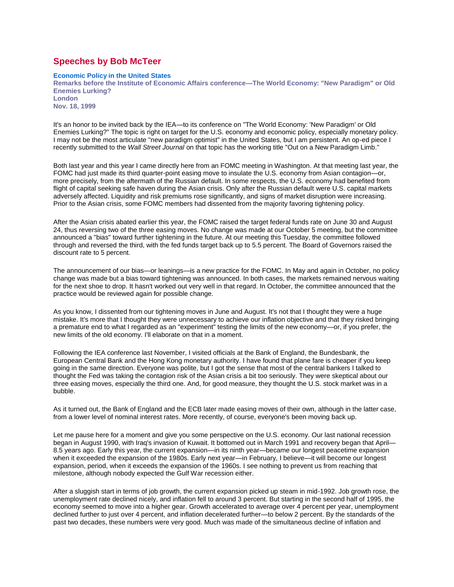## **Speeches by Bob McTeer**

## **Economic Policy in the United States**

**Remarks before the Institute of Economic Affairs conference—The World Economy: "New Paradigm" or Old Enemies Lurking? London Nov. 18, 1999**

It's an honor to be invited back by the IEA—to its conference on "The World Economy: 'New Paradigm' or Old Enemies Lurking?" The topic is right on target for the U.S. economy and economic policy, especially monetary policy. I may not be the most articulate "new paradigm optimist" in the United States, but I am persistent. An op-ed piece I recently submitted to the *Wall Street Journal* on that topic has the working title "Out on a New Paradigm Limb."

Both last year and this year I came directly here from an FOMC meeting in Washington. At that meeting last year, the FOMC had just made its third quarter-point easing move to insulate the U.S. economy from Asian contagion—or, more precisely, from the aftermath of the Russian default. In some respects, the U.S. economy had benefited from flight of capital seeking safe haven during the Asian crisis. Only after the Russian default were U.S. capital markets adversely affected. Liquidity and risk premiums rose significantly, and signs of market disruption were increasing. Prior to the Asian crisis, some FOMC members had dissented from the majority favoring tightening policy.

After the Asian crisis abated earlier this year, the FOMC raised the target federal funds rate on June 30 and August 24, thus reversing two of the three easing moves. No change was made at our October 5 meeting, but the committee announced a "bias" toward further tightening in the future. At our meeting this Tuesday, the committee followed through and reversed the third, with the fed funds target back up to 5.5 percent. The Board of Governors raised the discount rate to 5 percent.

The announcement of our bias—or leanings—is a new practice for the FOMC. In May and again in October, no policy change was made but a bias toward tightening was announced. In both cases, the markets remained nervous waiting for the next shoe to drop. It hasn't worked out very well in that regard. In October, the committee announced that the practice would be reviewed again for possible change.

As you know, I dissented from our tightening moves in June and August. It's not that I thought they were a huge mistake. It's more that I thought they were unnecessary to achieve our inflation objective and that they risked bringing a premature end to what I regarded as an "experiment" testing the limits of the new economy—or, if you prefer, the new limits of the old economy. I'll elaborate on that in a moment.

Following the IEA conference last November, I visited officials at the Bank of England, the Bundesbank, the European Central Bank and the Hong Kong monetary authority. I have found that plane fare is cheaper if you keep going in the same direction. Everyone was polite, but I got the sense that most of the central bankers I talked to thought the Fed was taking the contagion risk of the Asian crisis a bit too seriously. They were skeptical about our three easing moves, especially the third one. And, for good measure, they thought the U.S. stock market was in a bubble.

As it turned out, the Bank of England and the ECB later made easing moves of their own, although in the latter case, from a lower level of nominal interest rates. More recently, of course, everyone's been moving back up.

Let me pause here for a moment and give you some perspective on the U.S. economy. Our last national recession began in August 1990, with Iraq's invasion of Kuwait. It bottomed out in March 1991 and recovery began that April— 8.5 years ago. Early this year, the current expansion—in its ninth year—became our longest peacetime expansion when it exceeded the expansion of the 1980s. Early next year—in February, I believe—it will become our longest expansion, period, when it exceeds the expansion of the 1960s. I see nothing to prevent us from reaching that milestone, although nobody expected the Gulf War recession either.

After a sluggish start in terms of job growth, the current expansion picked up steam in mid-1992. Job growth rose, the unemployment rate declined nicely, and inflation fell to around 3 percent. But starting in the second half of 1995, the economy seemed to move into a higher gear. Growth accelerated to average over 4 percent per year, unemployment declined further to just over 4 percent, and inflation decelerated further—to below 2 percent. By the standards of the past two decades, these numbers were very good. Much was made of the simultaneous decline of inflation and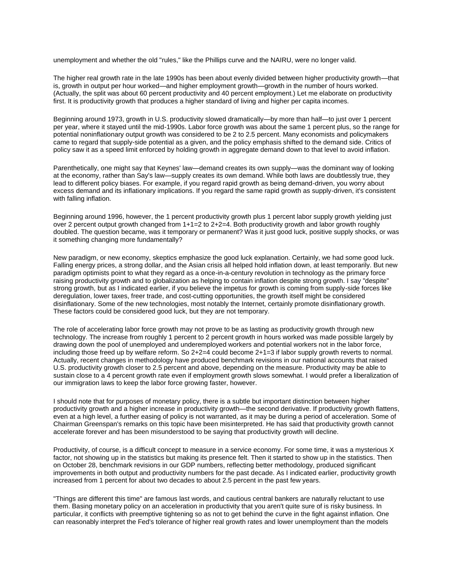unemployment and whether the old "rules," like the Phillips curve and the NAIRU, were no longer valid.

The higher real growth rate in the late 1990s has been about evenly divided between higher productivity growth—that is, growth in output per hour worked—and higher employment growth—growth in the number of hours worked. (Actually, the split was about 60 percent productivity and 40 percent employment.) Let me elaborate on productivity first. It is productivity growth that produces a higher standard of living and higher per capita incomes.

Beginning around 1973, growth in U.S. productivity slowed dramatically—by more than half—to just over 1 percent per year, where it stayed until the mid-1990s. Labor force growth was about the same 1 percent plus, so the range for potential noninflationary output growth was considered to be 2 to 2.5 percent. Many economists and policymakers came to regard that supply-side potential as a given, and the policy emphasis shifted to the demand side. Critics of policy saw it as a speed limit enforced by holding growth in aggregate demand down to that level to avoid inflation.

Parenthetically, one might say that Keynes' law—demand creates its own supply—was the dominant way of looking at the economy, rather than Say's law—supply creates its own demand. While both laws are doubtlessly true, they lead to different policy biases. For example, if you regard rapid growth as being demand-driven, you worry about excess demand and its inflationary implications. If you regard the same rapid growth as supply-driven, it's consistent with falling inflation.

Beginning around 1996, however, the 1 percent productivity growth plus 1 percent labor supply growth yielding just over 2 percent output growth changed from 1+1=2 to 2+2=4. Both productivity growth and labor growth roughly doubled. The question became, was it temporary or permanent? Was it just good luck, positive supply shocks, or was it something changing more fundamentally?

New paradigm, or new economy, skeptics emphasize the good luck explanation. Certainly, we had some good luck. Falling energy prices, a strong dollar, and the Asian crisis all helped hold inflation down, at least temporarily. But new paradigm optimists point to what they regard as a once-in-a-century revolution in technology as the primary force raising productivity growth and to globalization as helping to contain inflation despite strong growth. I say "despite" strong growth, but as I indicated earlier, if you believe the impetus for growth is coming from supply-side forces like deregulation, lower taxes, freer trade, and cost-cutting opportunities, the growth itself might be considered disinflationary. Some of the new technologies, most notably the Internet, certainly promote disinflationary growth. These factors could be considered good luck, but they are not temporary.

The role of accelerating labor force growth may not prove to be as lasting as productivity growth through new technology. The increase from roughly 1 percent to 2 percent growth in hours worked was made possible largely by drawing down the pool of unemployed and underemployed workers and potential workers not in the labor force, including those freed up by welfare reform. So 2+2=4 could become 2+1=3 if labor supply growth reverts to normal. Actually, recent changes in methodology have produced benchmark revisions in our national accounts that raised U.S. productivity growth closer to 2.5 percent and above, depending on the measure. Productivity may be able to sustain close to a 4 percent growth rate even if employment growth slows somewhat. I would prefer a liberalization of our immigration laws to keep the labor force growing faster, however.

I should note that for purposes of monetary policy, there is a subtle but important distinction between higher productivity growth and a higher increase in productivity growth—the second derivative. If productivity growth flattens, even at a high level, a further easing of policy is not warranted, as it may be during a period of acceleration. Some of Chairman Greenspan's remarks on this topic have been misinterpreted. He has said that productivity growth cannot accelerate forever and has been misunderstood to be saying that productivity growth will decline.

Productivity, of course, is a difficult concept to measure in a service economy. For some time, it was a mysterious X factor, not showing up in the statistics but making its presence felt. Then it started to show up in the statistics. Then on October 28, benchmark revisions in our GDP numbers, reflecting better methodology, produced significant improvements in both output and productivity numbers for the past decade. As I indicated earlier, productivity growth increased from 1 percent for about two decades to about 2.5 percent in the past few years.

"Things are different this time" are famous last words, and cautious central bankers are naturally reluctant to use them. Basing monetary policy on an acceleration in productivity that you aren't quite sure of is risky business. In particular, it conflicts with preemptive tightening so as not to get behind the curve in the fight against inflation. One can reasonably interpret the Fed's tolerance of higher real growth rates and lower unemployment than the models